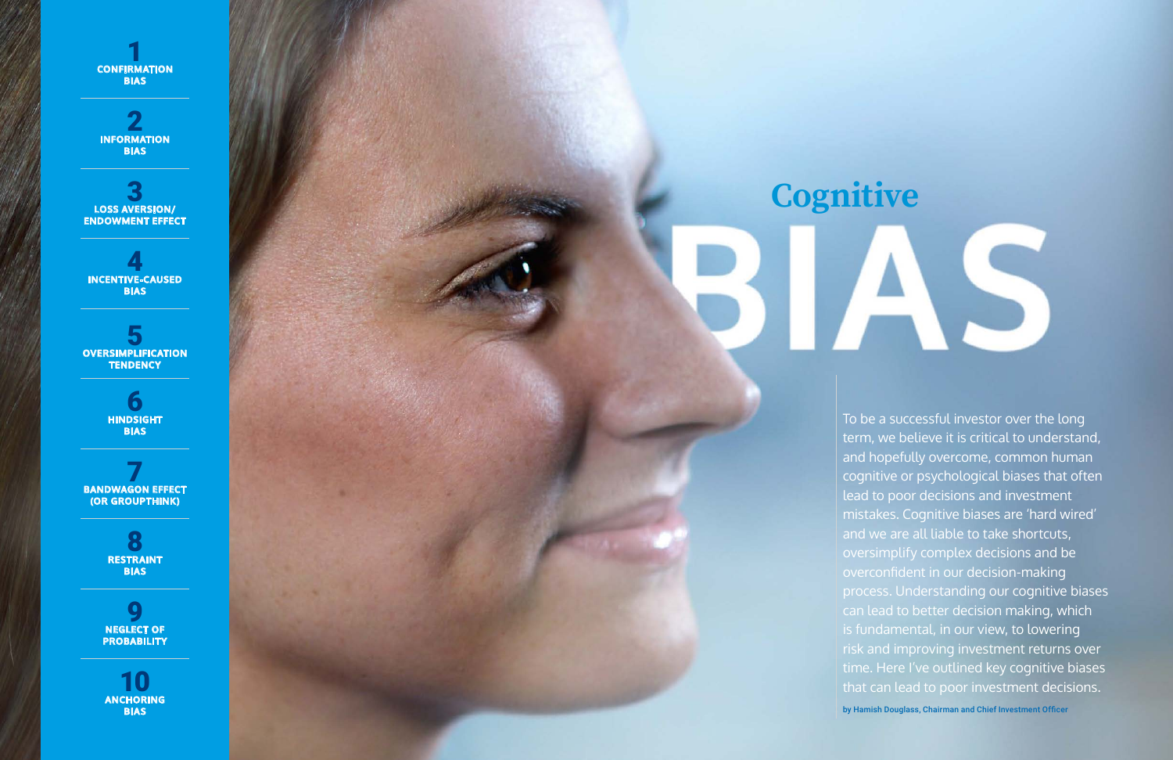1 **CONFIRMATION BIAS**

2 **INFORMATION BIAS**

3 **LOSS AVERSION/ ENDOWMENT EFFECT**

4 **INCENTIVE -CAUSED BIAS**

5 **OVERSIMPLIFICATION TENDENCY**

> 6 **HINDSIGHT BIAS**

7 **BANDWAGON EFFECT (OR GROUPTHINK)**

> 8 **RESTRAINT BIAS**

9 **NEGLECT OF PROBABILITY**

10 **ANCHORING BIAS**

by Hamish Douglass, Chairman and Chief Investment Officer

To be a successful investor over the long term, we believe it is critical to understand, and hopefully overcome, common human cognitive or psychological biases that often lead to poor decisions and investment mistakes. Cognitive biases are 'hard wired' and we are all liable to take shortcuts, oversimplify complex decisions and be overconfident in our decision-making process. Understanding our cognitive biases can lead to better decision making, which is fundamental, in our view, to lowering risk and improving investment returns over time. Here I've outlined key cognitive biases that can lead to poor investment decisions.

# **Cognitive**

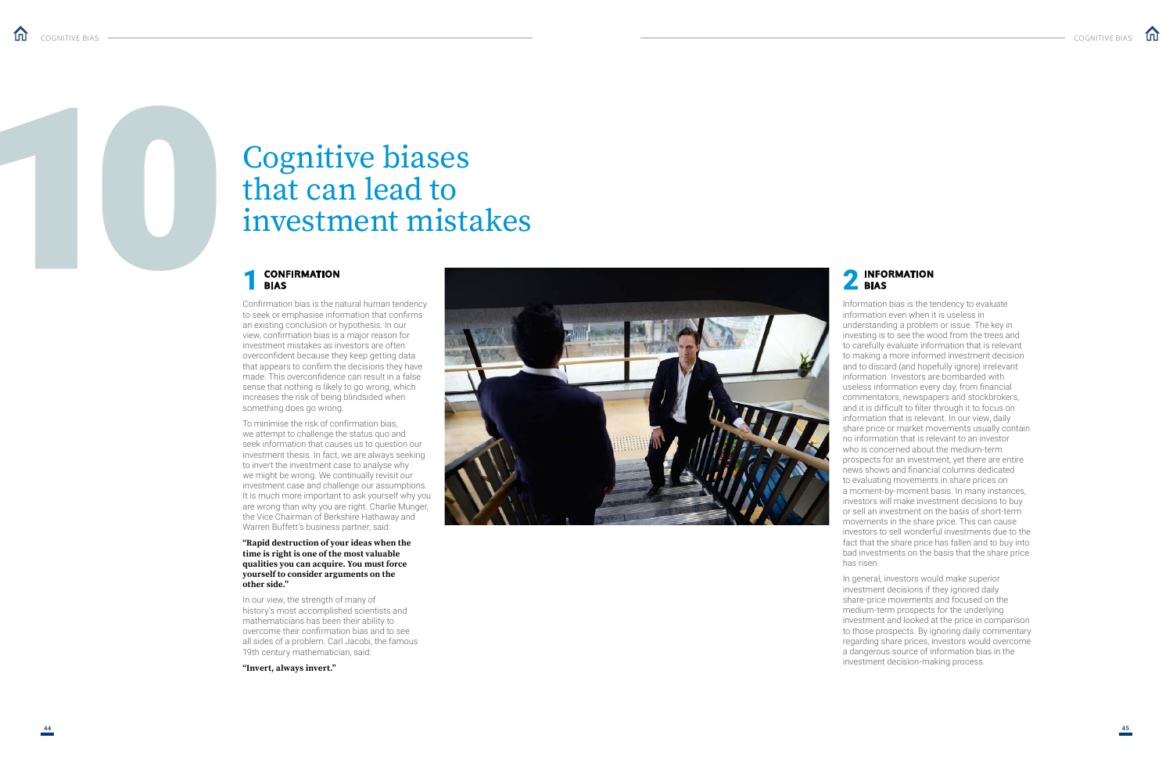10

Confirmation bias is the natural human tendency to seek or emphasise information that confirms an existing conclusion or hypothesis. In our view, confirmation bias is a major reason for investment mistakes as investors are often overconfident because they keep getting data that appears to confirm the decisions they have made. This overconfidence can result in a false sense that nothing is likely to go wrong, which increases the risk of being blindsided when something does go wrong.

To minimise the risk of confirmation bias, we attempt to challenge the status quo and seek information that causes us to question our investment thesis. In fact, we are always seeking to invert the investment case to analyse why we might be wrong. We continually revisit our investment case and challenge our assumptions. It is much more important to ask yourself why you are wrong than why you are right. Charlie Munger, the Vice Chairman of Berkshire Hathaway and Warren Buffett's business partner, said:

#### **CONFIRMATION BIAS** 1

Information bias is the tendency to evaluate information even when it is useless in understanding a problem or issue. The key in investing is to see the wood from the trees and to carefully evaluate information that is relevant to making a more informed investment decision and to discard (and hopefully ignore) irrelevant information. Investors are bombarded with useless information every day, from financial commentators, newspapers and stockbrokers, and it is difficult to filter through it to focus on information that is relevant. In our view, daily share price or market movements usually contain no information that is relevant to an investor who is concerned about the medium-term prospects for an investment, yet there are entire news shows and financial columns dedicated to evaluating movements in share prices on a moment-by-moment basis. In many instances, investors will make investment decisions to buy or sell an investment on the basis of short-term movements in the share price. This can cause investors to sell wonderful investments due to the fact that the share price has fallen and to buy into bad investments on the basis that the share price **EXECTS THEOR INTIGOR STAND THEOR INTERNATION**<br> **ENSIGNATION**<br>
Information even when it is useless in<br>
understanding a problem or issue. Th<br>
investing is to see the wood from the<br>
to carefully evaluate information that<br>
to

#### **"Rapid destruction of your ideas when the time is right is one of the most valuable qualities you can acquire. You must force yourself to consider arguments on the other side."**

In our view, the strength of many of history's most accomplished scientists and mathematicians has been their ability to overcome their confirmation bias and to see all sides of a problem. Carl Jacobi, the famous 19th century mathematician, said:

In general, investors would make superior investment decisions if they ignored daily share -price movements and focused on the medium -term prospects for the underlying investment and looked at the price in comparison to those prospects. By ignoring daily commentary regarding share prices, investors would overcome a dangerous source of information bias in the investment decision-making process.

**"Invert, always invert."**



# Cognitive biases that can lead to investment mistakes



#### **INFORMATION BIAS**

has risen.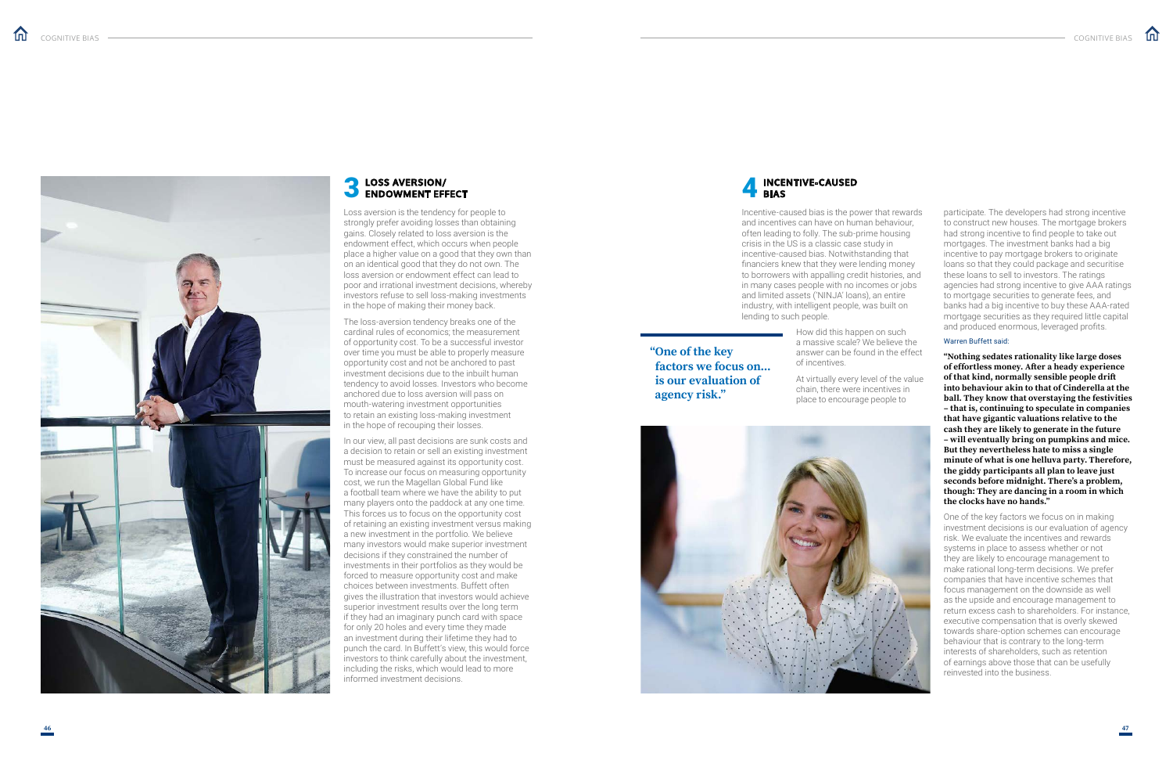Loss aversion is the tendency for people to strongly prefer avoiding losses than obtaining gains. Closely related to loss aversion is the endowment effect, which occurs when people place a higher value on a good that they own than on an identical good that they do not own. The loss aversion or endowment effect can lead to poor and irrational investment decisions, whereby investors refuse to sell loss-making investments in the hope of making their money back.

The loss-aversion tendency breaks one of the cardinal rules of economics; the measurement of opportunity cost. To be a successful investor over time you must be able to properly measure opportunity cost and not be anchored to past investment decisions due to the inbuilt human tendency to avoid losses. Investors who become anchored due to loss aversion will pass on mouth-watering investment opportunities to retain an existing loss-making investment in the hope of recouping their losses.

#### **LOSS AVERSION/ ENDOWMENT EFFECT** 3

In our view, all past decisions are sunk costs and a decision to retain or sell an existing investment must be measured against its opportunity cost. To increase our focus on measuring opportunity cost, we run the Magellan Global Fund like a football team where we have the ability to put many players onto the paddock at any one time. This forces us to focus on the opportunity cost of retaining an existing investment versus making a new investment in the portfolio. We believe many investors would make superior investment decisions if they constrained the number of investments in their portfolios as they would be forced to measure opportunity cost and make choices between investments. Buffett often gives the illustration that investors would achieve superior investment results over the long term if they had an imaginary punch card with space for only 20 holes and every time they made an investment during their lifetime they had to punch the card. In Buffett's view, this would force investors to think carefully about the investment, including the risks, which would lead to more informed investment decisions.



Incentive-caused bias is the power that rewards and incentives can have on human behaviour, often leading to folly. The sub-prime housing crisis in the US is a classic case study in incentive-caused bias. Notwithstanding that financiers knew that they were lending money to borrowers with appalling credit histories, and in many cases people with no incomes or jobs and limited assets ('NINJA' loans), an entire industry, with intelligent people, was built on lending to such people.

> How did this happen on such a massive scale? We believe the answer can be found in the effect of incentives.

> At virtually every level of the value chain, there were incentives in place to encourage people to



participate. The developers had strong incentive to construct new houses. The mortgage brokers had strong incentive to find people to take out mortgages. The investment banks had a big incentive to pay mortgage brokers to originate loans so that they could package and securitise these loans to sell to investors. The ratings agencies had strong incentive to give AAA ratings to mortgage securities to generate fees, and banks had a big incentive to buy these AAA-rated mortgage securities as they required little capital and produced enormous, leveraged profits.

#### Warren Buffett said:



**"Nothing sedates rationality like large doses of effortless money. After a heady experience of that kind, normally sensible people drift into behaviour akin to that of Cinderella at the ball. They know that overstaying the festivities – that is, continuing to speculate in companies that have gigantic valuations relative to the cash they are likely to generate in the future – will eventually bring on pumpkins and mice. But they nevertheless hate to miss a single minute of what is one helluva party. Therefore, the giddy participants all plan to leave just seconds before midnight. There's a problem, though: They are dancing in a room in which the clocks have no hands."**

One of the key factors we focus on in making investment decisions is our evaluation of agency risk. We evaluate the incentives and rewards systems in place to assess whether or not they are likely to encourage management to make rational long-term decisions. We prefer companies that have incentive schemes that focus management on the downside as well as the upside and encourage management to return excess cash to shareholders. For instance, executive compensation that is overly skewed towards share-option schemes can encourage behaviour that is contrary to the long-term interests of shareholders, such as retention of earnings above those that can be usefully reinvested into the business.



**"One of the key factors we focus on... is our evaluation of agency risk."**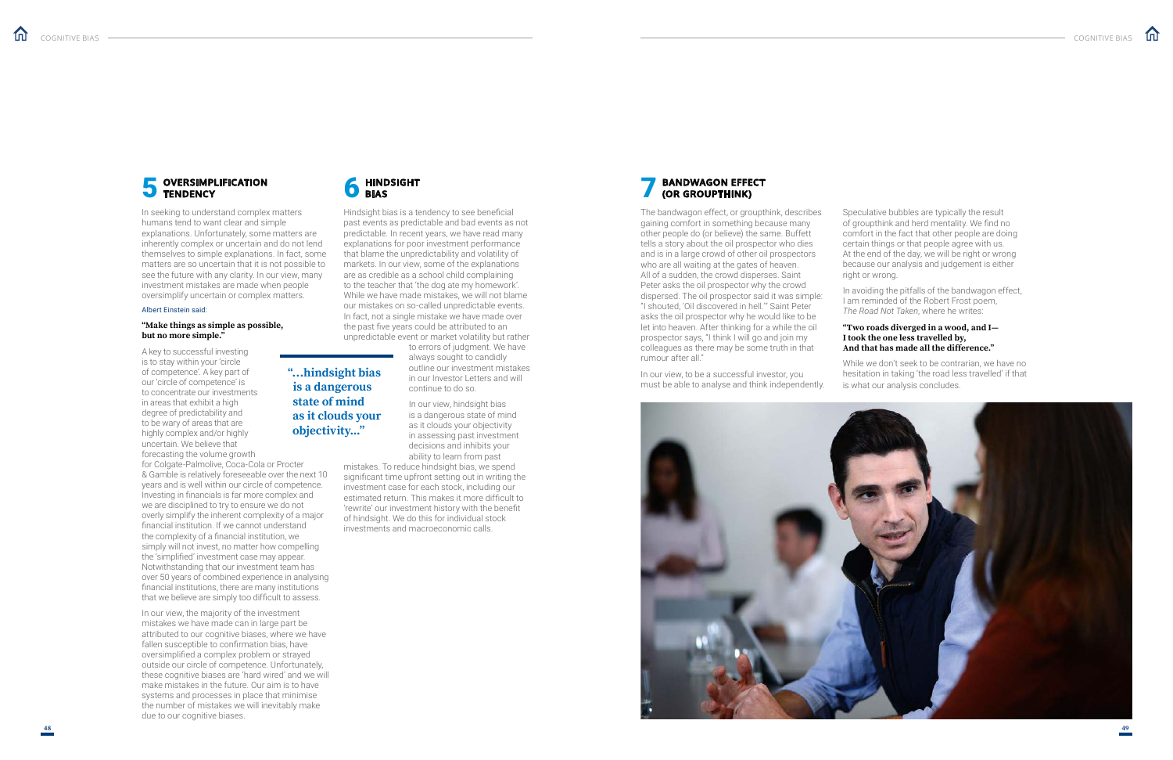

In seeking to understand complex matters humans tend to want clear and simple explanations. Unfortunately, some matters are inherently complex or uncertain and do not lend themselves to simple explanations. In fact, some matters are so uncertain that it is not possible to see the future with any clarity. In our view, many investment mistakes are made when people oversimplify uncertain or complex matters.

#### Albert Einstein said:

#### **"Make things as simple as possible, but no more simple."**

A key to successful investing is to stay within your 'circle of competence'. A key part of our 'circle of competence' is to concentrate our investments in areas that exhibit a high degree of predictability and to be wary of areas that are highly complex and/or highly uncertain. We believe that

forecasting the volume growth for Colgate-Palmolive, Coca-Cola or Procter & Gamble is relatively foreseeable over the next 10 years and is well within our circle of competence. Investing in financials is far more complex and we are disciplined to try to ensure we do not overly simplify the inherent complexity of a major financial institution. If we cannot understand the complexity of a financial institution, we simply will not invest, no matter how compelling the 'simplified' investment case may appear. Notwithstanding that our investment team has over 50 years of combined experience in analysing financial institutions, there are many institutions that we believe are simply too difficult to assess.

In our view, the majority of the investment mistakes we have made can in large part be attributed to our cognitive biases, where we have fallen susceptible to confirmation bias, have oversimplified a complex problem or strayed outside our circle of competence. Unfortunately, these cognitive biases are 'hard wired' and we will make mistakes in the future. Our aim is to have systems and processes in place that minimise the number of mistakes we will inevitably make due to our cognitive biases.



Hindsight bias is a tendency to see beneficial past events as predictable and bad events as not predictable. In recent years, we have read many explanations for poor investment performance that blame the unpredictability and volatility of markets. In our view, some of the explanations are as credible as a school child complaining to the teacher that 'the dog ate my homework'. While we have made mistakes, we will not blame our mistakes on so-called unpredictable events. In fact, not a single mistake we have made over the past five years could be attributed to an unpredictable event or market volatility but rather

to errors of judgment. We have always sought to candidly outline our investment mistakes in our Investor Letters and will continue to do so.

In our view, hindsight bias is a dangerous state of mind as it clouds your objectivity in assessing past investment decisions and inhibits your ability to learn from past

mistakes. To reduce hindsight bias, we spend significant time upfront setting out in writing the investment case for each stock, including our estimated return. This makes it more difficult to 'rewrite' our investment history with the benefit of hindsight. We do this for individual stock investments and macroeconomic calls.

**"…hindsight bias is a dangerous state of mind as it clouds your objectivity..."**

The bandwagon effect, or groupthink, describes gaining comfort in something because many other people do (or believe) the same. Buffett tells a story about the oil prospector who dies and is in a large crowd of other oil prospectors who are all waiting at the gates of heaven. All of a sudden, the crowd disperses. Saint Peter asks the oil prospector why the crowd dispersed. The oil prospector said it was simple: "I shouted, 'Oil discovered in hell.'" Saint Peter asks the oil prospector why he would like to be let into heaven. After thinking for a while the oil prospector says, "I think I will go and join my colleagues as there may be some truth in that rumour after all."

#### **BANDWAGON EFFECT (OR GROUPTHINK)** 7

In our view, to be a successful investor, you must be able to analyse and think independently.



Speculative bubbles are typically the result of groupthink and herd mentality. We find no comfort in the fact that other people are doing certain things or that people agree with us. At the end of the day, we will be right or wrong because our analysis and judgement is either right or wrong.

In avoiding the pitfalls of the bandwagon effect, I am reminded of the Robert Frost poem, *The Road Not Taken*, where he writes:

#### **"Two roads diverged in a wood, and I— I took the one less travelled by, And that has made all the difference."**

While we don't seek to be contrarian, we have no hesitation in taking 'the road less travelled' if that is what our analysis concludes.